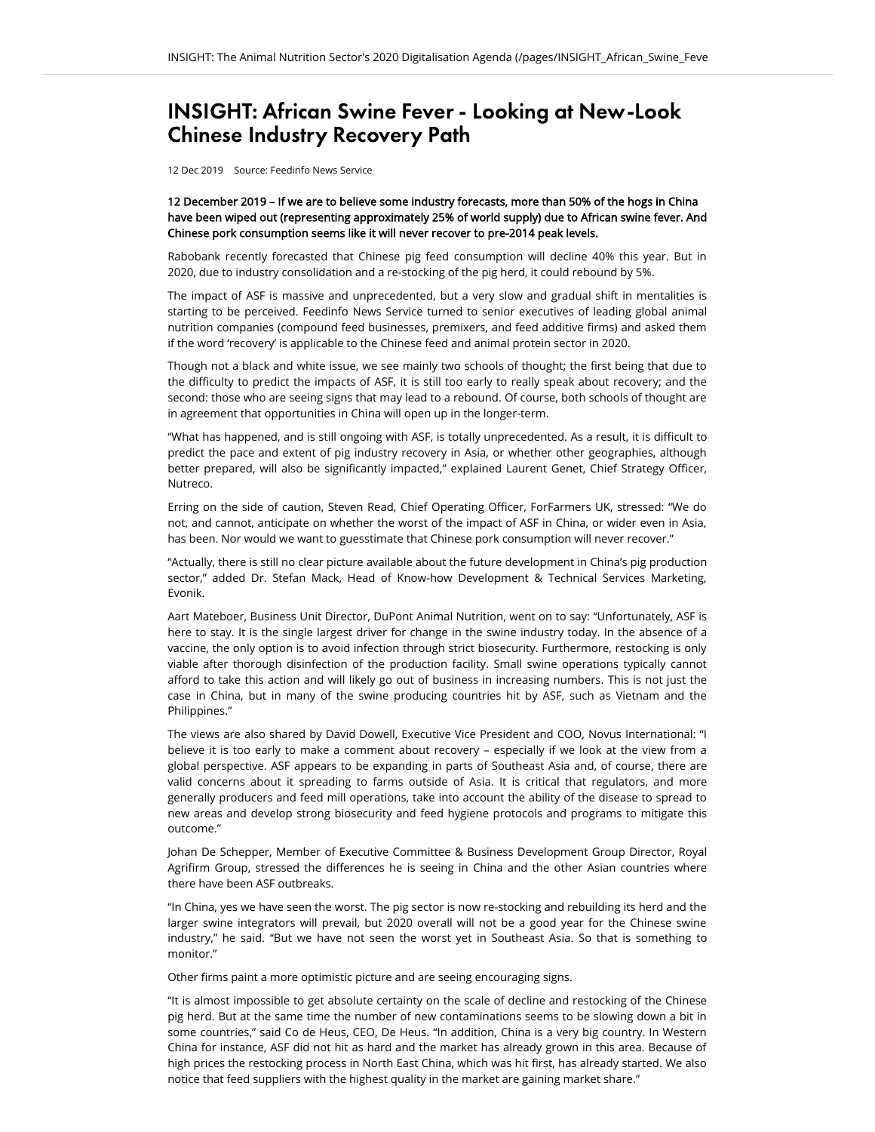## INSIGHT: African Swine Fever - Looking at New-Look Chinese Industry Recovery Path

12 Dec 2019 Source: Feedinfo News Service

12 December 2019 – If we are to believe some industry forecasts, more than 50% of the hogs in China have been wiped out (representing approximately 25% of world supply) due to African swine fever. And Chinese pork consumption seems like it will never recover to pre-2014 peak levels.

Rabobank recently forecasted that Chinese pig feed consumption will decline 40% this year. But in 2020, due to industry consolidation and a re-stocking of the pig herd, it could rebound by 5%.

The impact of ASF is massive and unprecedented, but a very slow and gradual shift in mentalities is starting to be perceived. Feedinfo News Service turned to senior executives of leading global animal nutrition companies (compound feed businesses, premixers, and feed additive firms) and asked them if the word 'recovery' is applicable to the Chinese feed and animal protein sector in 2020.

Though not a black and white issue, we see mainly two schools of thought; the first being that due to the difficulty to predict the impacts of ASF, it is still too early to really speak about recovery; and the second: those who are seeing signs that may lead to a rebound. Of course, both schools of thought are in agreement that opportunities in China will open up in the longer-term.

"What has happened, and is still ongoing with ASF, is totally unprecedented. As a result, it is difficult to predict the pace and extent of pig industry recovery in Asia, or whether other geographies, although better prepared, will also be significantly impacted," explained Laurent Genet, Chief Strategy Officer, **Nutreco** 

Erring on the side of caution, Steven Read, Chief Operating Officer, ForFarmers UK, stressed: "We do not, and cannot, anticipate on whether the worst of the impact of ASF in China, or wider even in Asia, has been. Nor would we want to guesstimate that Chinese pork consumption will never recover."

"Actually, there is still no clear picture available about the future development in China's pig production sector," added Dr. Stefan Mack, Head of Know-how Development & Technical Services Marketing, Evonik.

Aart Mateboer, Business Unit Director, DuPont Animal Nutrition, went on to say: "Unfortunately, ASF is here to stay. It is the single largest driver for change in the swine industry today. In the absence of a vaccine, the only option is to avoid infection through strict biosecurity. Furthermore, restocking is only viable after thorough disinfection of the production facility. Small swine operations typically cannot afford to take this action and will likely go out of business in increasing numbers. This is not just the case in China, but in many of the swine producing countries hit by ASF, such as Vietnam and the Philippines."

The views are also shared by David Dowell, Executive Vice President and COO, Novus International: "I believe it is too early to make a comment about recovery – especially if we look at the view from a global perspective. ASF appears to be expanding in parts of Southeast Asia and, of course, there are valid concerns about it spreading to farms outside of Asia. It is critical that regulators, and more generally producers and feed mill operations, take into account the ability of the disease to spread to new areas and develop strong biosecurity and feed hygiene protocols and programs to mitigate this outcome."

Johan De Schepper, Member of Executive Committee & Business Development Group Director, Royal Agrifirm Group, stressed the differences he is seeing in China and the other Asian countries where there have been ASF outbreaks.

"In China, yes we have seen the worst. The pig sector is now re-stocking and rebuilding its herd and the larger swine integrators will prevail, but 2020 overall will not be a good year for the Chinese swine industry," he said. "But we have not seen the worst yet in Southeast Asia. So that is something to monitor."

Other firms paint a more optimistic picture and are seeing encouraging signs.

"It is almost impossible to get absolute certainty on the scale of decline and restocking of the Chinese pig herd. But at the same time the number of new contaminations seems to be slowing down a bit in some countries," said Co de Heus, CEO, De Heus. "In addition, China is a very big country. In Western China for instance, ASF did not hit as hard and the market has already grown in this area. Because of high prices the restocking process in North East China, which was hit first, has already started. We also notice that feed suppliers with the highest quality in the market are gaining market share."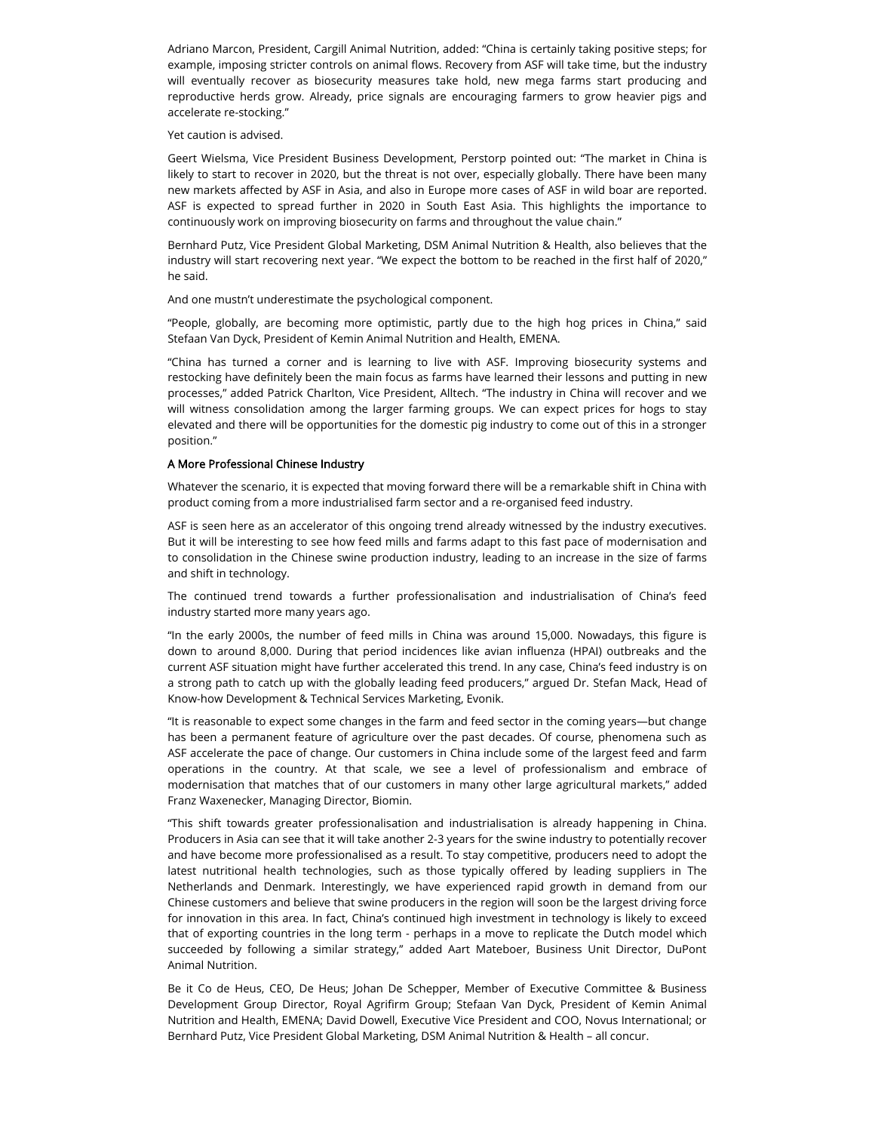Adriano Marcon, President, Cargill Animal Nutrition, added: "China is certainly taking positive steps; for example, imposing stricter controls on animal flows. Recovery from ASF will take time, but the industry will eventually recover as biosecurity measures take hold, new mega farms start producing and reproductive herds grow. Already, price signals are encouraging farmers to grow heavier pigs and accelerate re-stocking."

Yet caution is advised.

Geert Wielsma, Vice President Business Development, Perstorp pointed out: "The market in China is likely to start to recover in 2020, but the threat is not over, especially globally. There have been many new markets affected by ASF in Asia, and also in Europe more cases of ASF in wild boar are reported. ASF is expected to spread further in 2020 in South East Asia. This highlights the importance to continuously work on improving biosecurity on farms and throughout the value chain."

Bernhard Putz, Vice President Global Marketing, DSM Animal Nutrition & Health, also believes that the industry will start recovering next year. "We expect the bottom to be reached in the first half of 2020," he said.

And one mustn't underestimate the psychological component.

"People, globally, are becoming more optimistic, partly due to the high hog prices in China," said Stefaan Van Dyck, President of Kemin Animal Nutrition and Health, EMENA.

"China has turned a corner and is learning to live with ASF. Improving biosecurity systems and restocking have definitely been the main focus as farms have learned their lessons and putting in new processes," added Patrick Charlton, Vice President, Alltech. "The industry in China will recover and we will witness consolidation among the larger farming groups. We can expect prices for hogs to stay elevated and there will be opportunities for the domestic pig industry to come out of this in a stronger position."

## A More Professional Chinese Industry

Whatever the scenario, it is expected that moving forward there will be a remarkable shift in China with product coming from a more industrialised farm sector and a re-organised feed industry.

ASF is seen here as an accelerator of this ongoing trend already witnessed by the industry executives. But it will be interesting to see how feed mills and farms adapt to this fast pace of modernisation and to consolidation in the Chinese swine production industry, leading to an increase in the size of farms and shift in technology.

The continued trend towards a further professionalisation and industrialisation of China's feed industry started more many years ago.

"In the early 2000s, the number of feed mills in China was around 15,000. Nowadays, this figure is down to around 8,000. During that period incidences like avian influenza (HPAI) outbreaks and the current ASF situation might have further accelerated this trend. In any case, China's feed industry is on a strong path to catch up with the globally leading feed producers," argued Dr. Stefan Mack, Head of Know-how Development & Technical Services Marketing, Evonik.

"It is reasonable to expect some changes in the farm and feed sector in the coming years—but change has been a permanent feature of agriculture over the past decades. Of course, phenomena such as ASF accelerate the pace of change. Our customers in China include some of the largest feed and farm operations in the country. At that scale, we see a level of professionalism and embrace of modernisation that matches that of our customers in many other large agricultural markets," added Franz Waxenecker, Managing Director, Biomin.

"This shift towards greater professionalisation and industrialisation is already happening in China. Producers in Asia can see that it will take another 2-3 years for the swine industry to potentially recover and have become more professionalised as a result. To stay competitive, producers need to adopt the latest nutritional health technologies, such as those typically offered by leading suppliers in The Netherlands and Denmark. Interestingly, we have experienced rapid growth in demand from our Chinese customers and believe that swine producers in the region will soon be the largest driving force for innovation in this area. In fact, China's continued high investment in technology is likely to exceed that of exporting countries in the long term - perhaps in a move to replicate the Dutch model which succeeded by following a similar strategy," added Aart Mateboer, Business Unit Director, DuPont Animal Nutrition.

Be it Co de Heus, CEO, De Heus; Johan De Schepper, Member of Executive Committee & Business Development Group Director, Royal Agrifirm Group; Stefaan Van Dyck, President of Kemin Animal Nutrition and Health, EMENA; David Dowell, Executive Vice President and COO, Novus International; or Bernhard Putz, Vice President Global Marketing, DSM Animal Nutrition & Health – all concur.